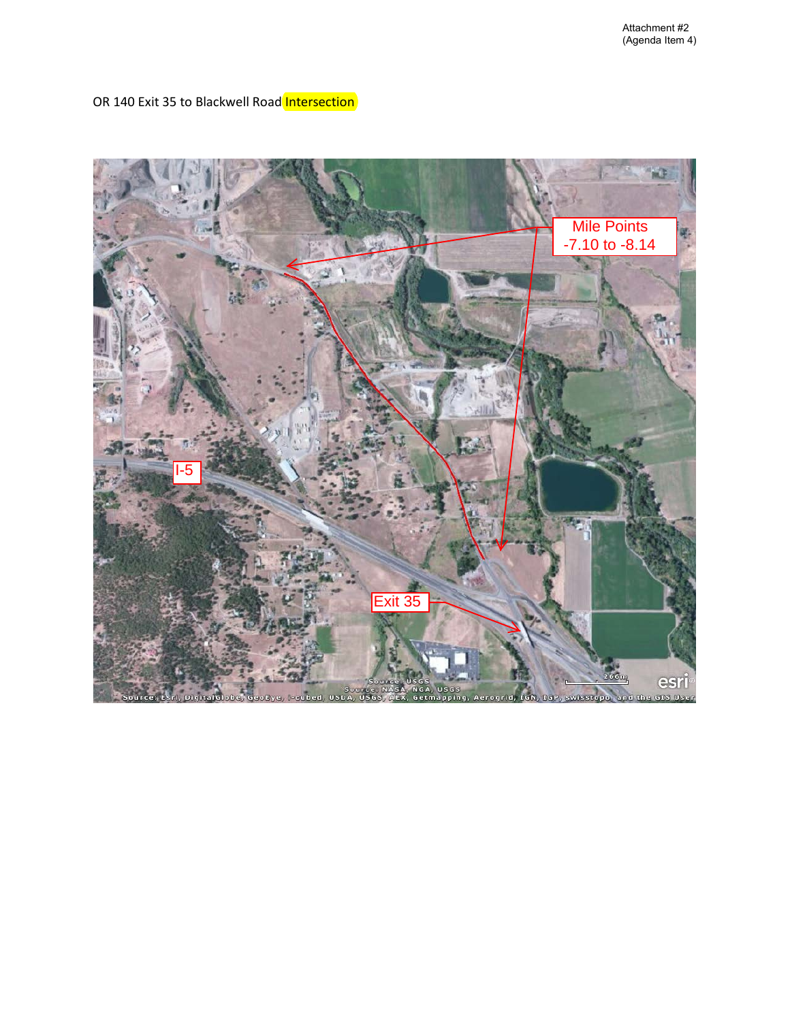OR 140 Exit 35 to Blackwell Road Intersection

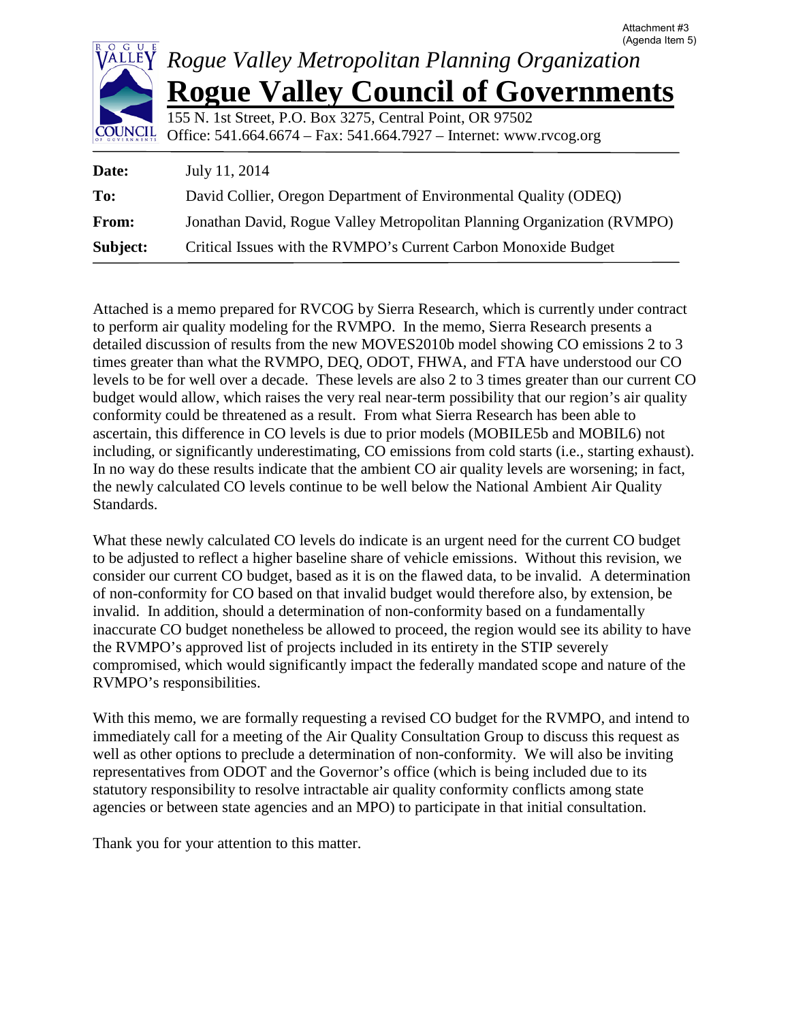

**Subject:** Critical Issues with the RVMPO's Current Carbon Monoxide Budget

Attached is a memo prepared for RVCOG by Sierra Research, which is currently under contract to perform air quality modeling for the RVMPO. In the memo, Sierra Research presents a detailed discussion of results from the new MOVES2010b model showing CO emissions 2 to 3 times greater than what the RVMPO, DEQ, ODOT, FHWA, and FTA have understood our CO levels to be for well over a decade. These levels are also 2 to 3 times greater than our current CO budget would allow, which raises the very real near-term possibility that our region's air quality conformity could be threatened as a result. From what Sierra Research has been able to ascertain, this difference in CO levels is due to prior models (MOBILE5b and MOBIL6) not including, or significantly underestimating, CO emissions from cold starts (i.e., starting exhaust). In no way do these results indicate that the ambient CO air quality levels are worsening; in fact, the newly calculated CO levels continue to be well below the National Ambient Air Quality Standards.

What these newly calculated CO levels do indicate is an urgent need for the current CO budget to be adjusted to reflect a higher baseline share of vehicle emissions. Without this revision, we consider our current CO budget, based as it is on the flawed data, to be invalid. A determination of non-conformity for CO based on that invalid budget would therefore also, by extension, be invalid. In addition, should a determination of non-conformity based on a fundamentally inaccurate CO budget nonetheless be allowed to proceed, the region would see its ability to have the RVMPO's approved list of projects included in its entirety in the STIP severely compromised, which would significantly impact the federally mandated scope and nature of the RVMPO's responsibilities.

With this memo, we are formally requesting a revised CO budget for the RVMPO, and intend to immediately call for a meeting of the Air Quality Consultation Group to discuss this request as well as other options to preclude a determination of non-conformity. We will also be inviting representatives from ODOT and the Governor's office (which is being included due to its statutory responsibility to resolve intractable air quality conformity conflicts among state agencies or between state agencies and an MPO) to participate in that initial consultation.

Thank you for your attention to this matter.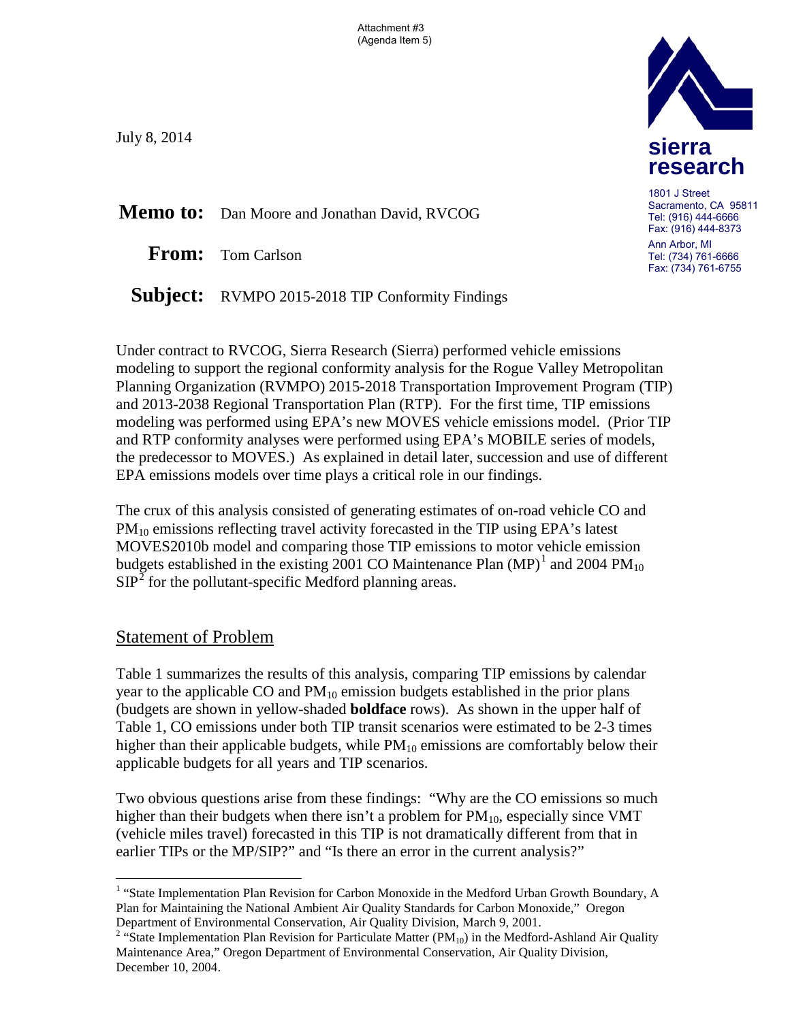Attachment #3 (Agenda Item 5)

July 8, 2014

**Memo to:** Dan Moore and Jonathan David, RVCOG

**From:** Tom Carlson

Subject: RVMPO 2015-2018 TIP Conformity Findings

Under contract to RVCOG, Sierra Research (Sierra) performed vehicle emissions modeling to support the regional conformity analysis for the Rogue Valley Metropolitan Planning Organization (RVMPO) 2015-2018 Transportation Improvement Program (TIP) and 2013-2038 Regional Transportation Plan (RTP). For the first time, TIP emissions modeling was performed using EPA's new MOVES vehicle emissions model. (Prior TIP and RTP conformity analyses were performed using EPA's MOBILE series of models, the predecessor to MOVES.) As explained in detail later, succession and use of different EPA emissions models over time plays a critical role in our findings.

The crux of this analysis consisted of generating estimates of on-road vehicle CO and  $PM_{10}$  emissions reflecting travel activity forecasted in the TIP using EPA's latest MOVES2010b model and comparing those TIP emissions to motor vehicle emission budgets established in the existing 200[1](#page-10-0) CO Maintenance Plan  $(MP)^1$  and 2004 PM<sub>10</sub>  $SIP<sup>2</sup>$  $SIP<sup>2</sup>$  $SIP<sup>2</sup>$  for the pollutant-specific Medford planning areas.

## Statement of Problem

 $\overline{a}$ 

Table 1 summarizes the results of this analysis, comparing TIP emissions by calendar year to the applicable CO and  $PM_{10}$  emission budgets established in the prior plans (budgets are shown in yellow-shaded **boldface** rows). As shown in the upper half of Table 1, CO emissions under both TIP transit scenarios were estimated to be 2-3 times higher than their applicable budgets, while  $PM_{10}$  emissions are comfortably below their applicable budgets for all years and TIP scenarios.

Two obvious questions arise from these findings: "Why are the CO emissions so much higher than their budgets when there isn't a problem for  $PM_{10}$ , especially since VMT (vehicle miles travel) forecasted in this TIP is not dramatically different from that in earlier TIPs or the MP/SIP?" and "Is there an error in the current analysis?"



1801 J Street Sacramento, CA 95811 Tel: (916) 444-6666 Fax: (916) 444-8373 Ann Arbor, MI Tel: (734) 761-6666

Fax: (734) 761-6755

<span id="page-10-0"></span><sup>&</sup>lt;sup>1</sup> "State Implementation Plan Revision for Carbon Monoxide in the Medford Urban Growth Boundary, A Plan for Maintaining the National Ambient Air Quality Standards for Carbon Monoxide," Oregon Department of Environmental Conservation, Air Quality Division, March 9, 2001.

<span id="page-10-1"></span><sup>&</sup>lt;sup>2</sup> "State Implementation Plan Revision for Particulate Matter (PM<sub>10</sub>) in the Medford-Ashland Air Quality Maintenance Area," Oregon Department of Environmental Conservation, Air Quality Division, December 10, 2004.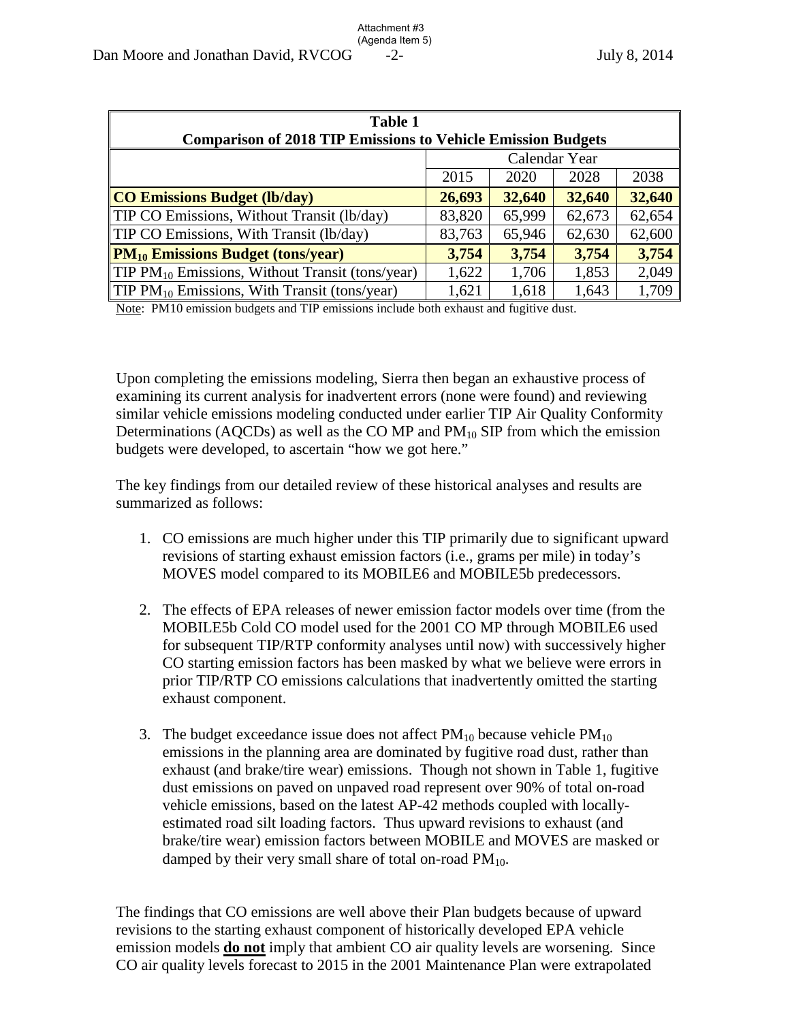| <b>Table 1</b><br><b>Comparison of 2018 TIP Emissions to Vehicle Emission Budgets</b> |               |        |        |        |  |  |  |
|---------------------------------------------------------------------------------------|---------------|--------|--------|--------|--|--|--|
|                                                                                       | Calendar Year |        |        |        |  |  |  |
|                                                                                       | 2015          | 2020   | 2028   | 2038   |  |  |  |
| <b>CO Emissions Budget (lb/day)</b>                                                   | 26,693        | 32,640 | 32,640 | 32,640 |  |  |  |
| <b>TIP CO Emissions, Without Transit (lb/day)</b>                                     | 83,820        | 65,999 | 62,673 | 62,654 |  |  |  |
| <b>TIP CO Emissions, With Transit (lb/day)</b>                                        | 83,763        | 65,946 | 62,630 | 62,600 |  |  |  |
| $\mathbf{PM}_{10}$ Emissions Budget (tons/year)                                       | 3,754         | 3,754  | 3,754  | 3,754  |  |  |  |
| <b>TIP PM</b> <sub>10</sub> Emissions, Without Transit (tons/year)                    | 1,622         | 1,706  | 1,853  | 2,049  |  |  |  |
| <b>TIP PM</b> <sub>10</sub> Emissions, With Transit (tons/year)                       | 1,621         | 1,618  | 1,643  | 1,709  |  |  |  |

Note: PM10 emission budgets and TIP emissions include both exhaust and fugitive dust.

Upon completing the emissions modeling, Sierra then began an exhaustive process of examining its current analysis for inadvertent errors (none were found) and reviewing similar vehicle emissions modeling conducted under earlier TIP Air Quality Conformity Determinations (AQCDs) as well as the CO MP and  $PM_{10}$  SIP from which the emission budgets were developed, to ascertain "how we got here."

The key findings from our detailed review of these historical analyses and results are summarized as follows:

- 1. CO emissions are much higher under this TIP primarily due to significant upward revisions of starting exhaust emission factors (i.e., grams per mile) in today's MOVES model compared to its MOBILE6 and MOBILE5b predecessors.
- 2. The effects of EPA releases of newer emission factor models over time (from the MOBILE5b Cold CO model used for the 2001 CO MP through MOBILE6 used for subsequent TIP/RTP conformity analyses until now) with successively higher CO starting emission factors has been masked by what we believe were errors in prior TIP/RTP CO emissions calculations that inadvertently omitted the starting exhaust component.
- 3. The budget exceedance issue does not affect  $PM_{10}$  because vehicle  $PM_{10}$ emissions in the planning area are dominated by fugitive road dust, rather than exhaust (and brake/tire wear) emissions. Though not shown in Table 1, fugitive dust emissions on paved on unpaved road represent over 90% of total on-road vehicle emissions, based on the latest AP-42 methods coupled with locallyestimated road silt loading factors. Thus upward revisions to exhaust (and brake/tire wear) emission factors between MOBILE and MOVES are masked or damped by their very small share of total on-road  $PM_{10}$ .

The findings that CO emissions are well above their Plan budgets because of upward revisions to the starting exhaust component of historically developed EPA vehicle emission models **do not** imply that ambient CO air quality levels are worsening. Since CO air quality levels forecast to 2015 in the 2001 Maintenance Plan were extrapolated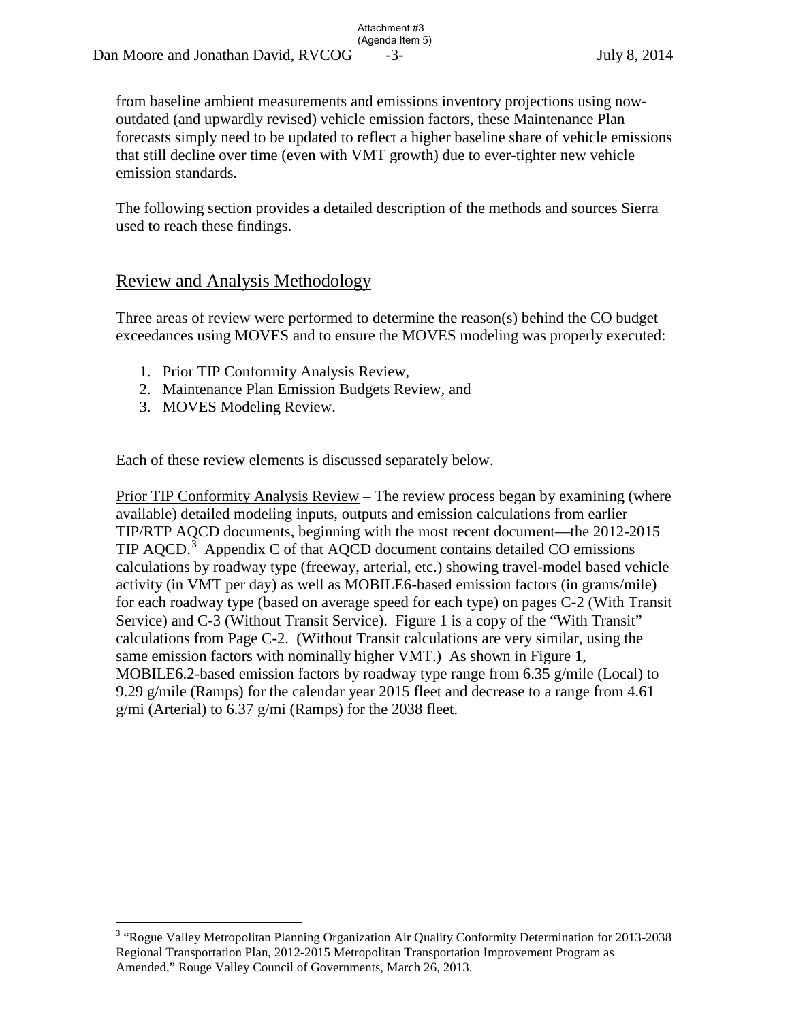from baseline ambient measurements and emissions inventory projections using nowoutdated (and upwardly revised) vehicle emission factors, these Maintenance Plan forecasts simply need to be updated to reflect a higher baseline share of vehicle emissions that still decline over time (even with VMT growth) due to ever-tighter new vehicle emission standards.

Attachment #3

The following section provides a detailed description of the methods and sources Sierra used to reach these findings.

## Review and Analysis Methodology

Three areas of review were performed to determine the reason(s) behind the CO budget exceedances using MOVES and to ensure the MOVES modeling was properly executed:

- 1. Prior TIP Conformity Analysis Review,
- 2. Maintenance Plan Emission Budgets Review, and
- 3. MOVES Modeling Review.

Each of these review elements is discussed separately below.

Prior TIP Conformity Analysis Review – The review process began by examining (where available) detailed modeling inputs, outputs and emission calculations from earlier TIP/RTP AQCD documents, beginning with the most recent document—the 2012-2015 TIP AQCD.<sup>[3](#page-12-0)</sup> Appendix C of that AQCD document contains detailed CO emissions calculations by roadway type (freeway, arterial, etc.) showing travel-model based vehicle activity (in VMT per day) as well as MOBILE6-based emission factors (in grams/mile) for each roadway type (based on average speed for each type) on pages C-2 (With Transit Service) and C-3 (Without Transit Service). Figure 1 is a copy of the "With Transit" calculations from Page C-2. (Without Transit calculations are very similar, using the same emission factors with nominally higher VMT.) As shown in Figure 1, MOBILE6.2-based emission factors by roadway type range from 6.35 g/mile (Local) to 9.29 g/mile (Ramps) for the calendar year 2015 fleet and decrease to a range from 4.61 g/mi (Arterial) to 6.37 g/mi (Ramps) for the 2038 fleet.

<span id="page-12-0"></span> 3 "Rogue Valley Metropolitan Planning Organization Air Quality Conformity Determination for 2013-2038 Regional Transportation Plan, 2012-2015 Metropolitan Transportation Improvement Program as Amended," Rouge Valley Council of Governments, March 26, 2013.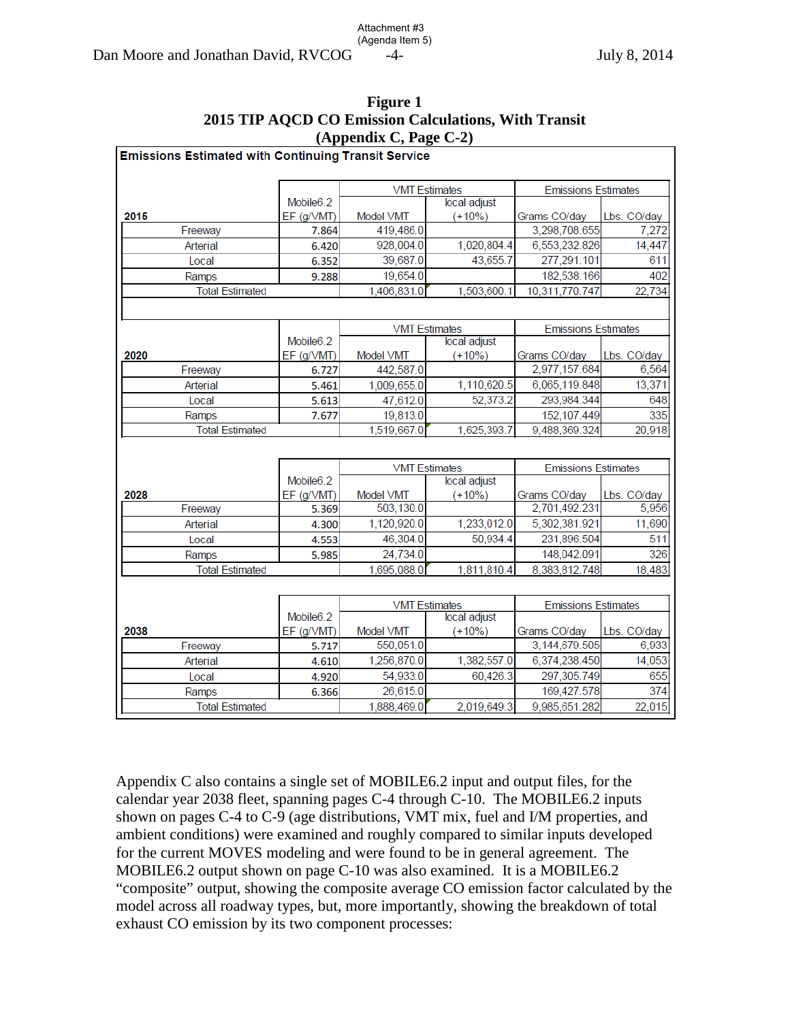| $(1$ pp change $\sim$ $\frac{1}{2}$                        |                       |                      |                      |                            |             |  |  |  |  |
|------------------------------------------------------------|-----------------------|----------------------|----------------------|----------------------------|-------------|--|--|--|--|
| <b>Emissions Estimated with Continuing Transit Service</b> |                       |                      |                      |                            |             |  |  |  |  |
|                                                            |                       |                      |                      |                            |             |  |  |  |  |
|                                                            |                       | <b>VMT Estimates</b> |                      | <b>Emissions Estimates</b> |             |  |  |  |  |
|                                                            | Mobile <sub>6.2</sub> |                      | local adjust         |                            |             |  |  |  |  |
| 2015                                                       | EF (g/VMT)            | Model VMT            | $(+10%)$             | Grams CO/day               | Lbs. CO/day |  |  |  |  |
| Freeway                                                    | 7.864                 | 419,486.0            |                      | 3,298,708.655              | 7,272       |  |  |  |  |
| Arterial                                                   | 6.420                 | 928,004.0            | 1,020,804.4          | 6,553,232.826              | 14,447      |  |  |  |  |
| Local                                                      | 6.352                 | 39,687.0             | 43,655.7             | 277,291.101                | 611         |  |  |  |  |
| Ramps                                                      | 9.288                 | 19,654.0             |                      | 182,538.166                | 402         |  |  |  |  |
| <b>Total Estimated</b>                                     |                       | 1,406,831.0          | 1,503,600.1          | 10,311,770.747             | 22,734      |  |  |  |  |
|                                                            |                       |                      |                      |                            |             |  |  |  |  |
|                                                            |                       |                      | <b>VMT Estimates</b> | <b>Emissions Estimates</b> |             |  |  |  |  |
|                                                            | Mobile <sub>6.2</sub> |                      | local adjust         |                            |             |  |  |  |  |
| 2020                                                       | EF (g/VMT)            | Model VMT            | $(+10%)$             | Grams CO/day               | Lbs. CO/day |  |  |  |  |
| Freeway                                                    | 6.727                 | 442,587.0            |                      | 2,977,157.684              | 6,564       |  |  |  |  |
| Arterial                                                   | 5.461                 | 1,009,655.0          | 1,110,620.5          | 6,065,119.848              | 13,371      |  |  |  |  |
| Local                                                      | 5.613                 | 47,612.0             | 52,373.2             | 293,984.344                | 648         |  |  |  |  |
| Ramps                                                      | 7.677                 | 19,813.0             |                      | 152, 107.449               | 335         |  |  |  |  |
| <b>Total Estimated</b>                                     |                       |                      | 1,625,393.7          | 9,488,369.324              | 20,918      |  |  |  |  |
|                                                            |                       | 1,519,667.0          |                      |                            |             |  |  |  |  |
|                                                            |                       | <b>VMT Estimates</b> |                      | <b>Emissions Estimates</b> |             |  |  |  |  |
|                                                            | Mobile <sub>6.2</sub> |                      | local adjust         |                            |             |  |  |  |  |
| 2028                                                       | EF (g/VMT)            | Model VMT            | $(+10%)$             | Grams CO/day               | Lbs. CO/day |  |  |  |  |
| Freeway                                                    | 5.369                 | 503,130.0            |                      | 2,701,492.231              | 5,956       |  |  |  |  |
| Arterial                                                   | 4.300                 | 1,120,920.0          | 1,233,012.0          | 5,302,381.921              | 11,690      |  |  |  |  |
| Local                                                      | 4.553                 | 46,304.0             | 50,934.4             | 231,896.504                | 511         |  |  |  |  |
| Ramps                                                      | 5.985                 | 24,734.0             |                      | 148,042.091                | 326         |  |  |  |  |
| <b>Total Estimated</b>                                     |                       | 1,695,088.0          | 1,811,810.4          | 8,383,812.748              | 18,483      |  |  |  |  |
|                                                            |                       |                      |                      |                            |             |  |  |  |  |
|                                                            |                       | <b>VMT Estimates</b> |                      | <b>Emissions Estimates</b> |             |  |  |  |  |
|                                                            | Mobile <sub>6.2</sub> | local adjust         |                      |                            |             |  |  |  |  |
| 2038                                                       | EF (g/VMT)            | Model VMT            | $(+10%)$             | Grams CO/day               | Lbs. CO/day |  |  |  |  |
| Freeway                                                    | 5.717                 | 550,051.0            |                      | 3,144,679.505              | 6,933       |  |  |  |  |
| Arterial                                                   | 4.610                 | 1,256,870.0          | 1,382,557.0          | 6,374,238.450              | 14,053      |  |  |  |  |
| Local                                                      | 4.920                 | 54,933.0             | 60,426.3             | 297,305.749                | 655         |  |  |  |  |
| Ramps                                                      | 6.366                 | 26,615.0             |                      | 169,427.578                | 374         |  |  |  |  |
| <b>Total Estimated</b>                                     |                       | 1,888,469.0          | 2,019,649.3          | 9,985,651.282              | 22,015      |  |  |  |  |
|                                                            |                       |                      |                      |                            |             |  |  |  |  |

| Figure 1                                             |  |
|------------------------------------------------------|--|
| 2015 TIP AQCD CO Emission Calculations, With Transit |  |
| (Appendix C, Page $C-2$ )                            |  |

Attachment #3

Appendix C also contains a single set of MOBILE6.2 input and output files, for the calendar year 2038 fleet, spanning pages C-4 through C-10. The MOBILE6.2 inputs shown on pages C-4 to C-9 (age distributions, VMT mix, fuel and I/M properties, and ambient conditions) were examined and roughly compared to similar inputs developed for the current MOVES modeling and were found to be in general agreement. The MOBILE6.2 output shown on page C-10 was also examined. It is a MOBILE6.2 "composite" output, showing the composite average CO emission factor calculated by the model across all roadway types, but, more importantly, showing the breakdown of total exhaust CO emission by its two component processes: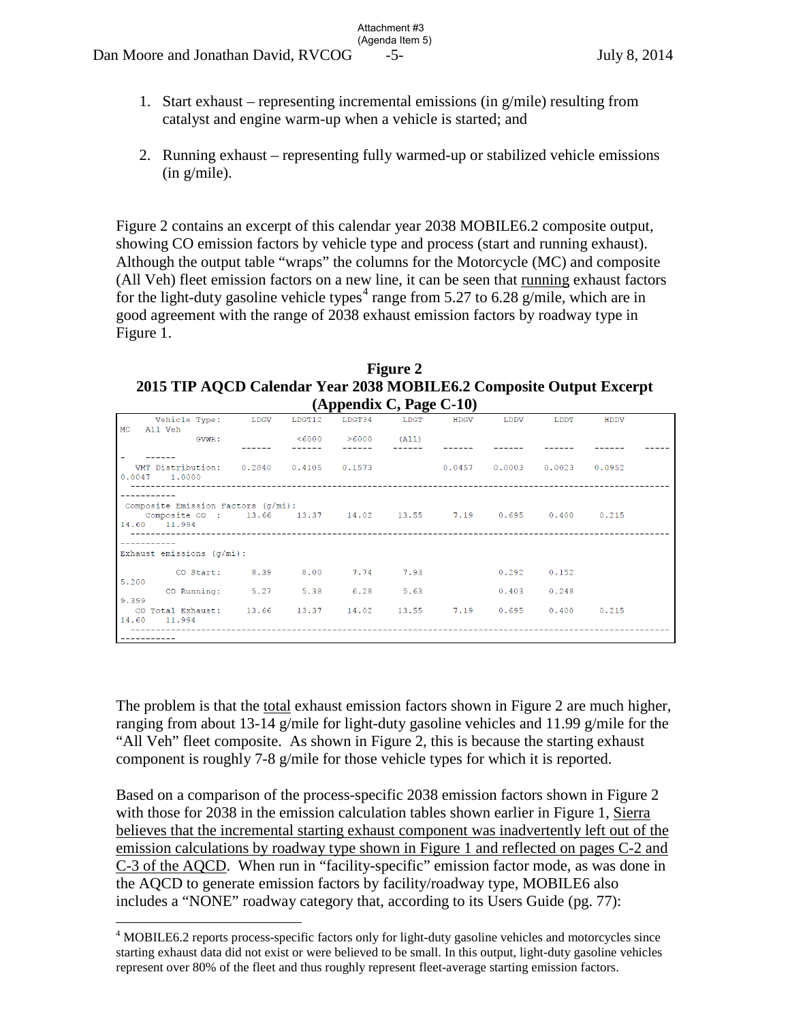1. Start exhaust – representing incremental emissions (in  $g/mile$ ) resulting from catalyst and engine warm-up when a vehicle is started; and

Attachment #3

2. Running exhaust – representing fully warmed-up or stabilized vehicle emissions (in g/mile).

Figure 2 contains an excerpt of this calendar year 2038 MOBILE6.2 composite output, showing CO emission factors by vehicle type and process (start and running exhaust). Although the output table "wraps" the columns for the Motorcycle (MC) and composite (All Veh) fleet emission factors on a new line, it can be seen that running exhaust factors for the light-duty gasoline vehicle types<sup>[4](#page-14-0)</sup> range from 5.27 to 6.28 g/mile, which are in good agreement with the range of 2038 exhaust emission factors by roadway type in Figure 1.

**Figure 2 2015 TIP AQCD Calendar Year 2038 MOBILE6.2 Composite Output Excerpt**   $(\text{A}$ ppendix  $\Gamma$  Page  $\Gamma$ -10)

| $(A)$ ppenula $C$ , i age $C$ -10)                                                                                         |  |        |                         |      |      |                 |       |      |  |
|----------------------------------------------------------------------------------------------------------------------------|--|--------|-------------------------|------|------|-----------------|-------|------|--|
| Vehicle Type: LDGV<br>MC<br>All Veh                                                                                        |  | LDGT12 | LDGT34                  | LDGT | HDGV | T.DDV           | LDDT  | HDDV |  |
| GVWR:                                                                                                                      |  |        | $< 6000$ $> 6000$ (All) |      |      |                 |       |      |  |
|                                                                                                                            |  |        |                         |      |      |                 |       |      |  |
| VMT Distribution: 0.2840 0.4105 0.1573 0.0457 0.0003 0.0023 0.0952<br>0.0047 1.0000                                        |  |        |                         |      |      |                 |       |      |  |
| Composite Emission Factors (q/mi):<br>Composite CO : 13.66  13.37  14.02  13.55  7.19  0.695  0.400  0.215<br>14.60 11.994 |  |        |                         |      |      |                 |       |      |  |
|                                                                                                                            |  |        |                         |      |      |                 |       |      |  |
| Exhaust emissions $(q/mi)$ :                                                                                               |  |        |                         |      |      |                 |       |      |  |
| CO Start: 8.39 8.00 7.74 7.93                                                                                              |  |        |                         |      |      | $0.292$ $0.152$ |       |      |  |
| 5.200                                                                                                                      |  |        |                         |      |      |                 |       |      |  |
| CO Running: 5.27 5.38 6.28<br>9.399                                                                                        |  |        |                         | 5.63 |      | 0.403           | 0.248 |      |  |
| CO Total Exhaust: 13.66 13.37 14.02 13.55 7.19 0.695 0.400 0.215<br>14.60 11.994                                           |  |        |                         |      |      |                 |       |      |  |
|                                                                                                                            |  |        |                         |      |      |                 |       |      |  |

The problem is that the total exhaust emission factors shown in Figure 2 are much higher, ranging from about 13-14 g/mile for light-duty gasoline vehicles and 11.99 g/mile for the "All Veh" fleet composite. As shown in Figure 2, this is because the starting exhaust component is roughly 7-8 g/mile for those vehicle types for which it is reported.

Based on a comparison of the process-specific 2038 emission factors shown in Figure 2 with those for 2038 in the emission calculation tables shown earlier in Figure 1, Sierra believes that the incremental starting exhaust component was inadvertently left out of the emission calculations by roadway type shown in Figure 1 and reflected on pages C-2 and C-3 of the AQCD. When run in "facility-specific" emission factor mode, as was done in the AQCD to generate emission factors by facility/roadway type, MOBILE6 also includes a "NONE" roadway category that, according to its Users Guide (pg. 77):

<span id="page-14-0"></span> $\overline{a}$ <sup>4</sup> MOBILE6.2 reports process-specific factors only for light-duty gasoline vehicles and motorcycles since starting exhaust data did not exist or were believed to be small. In this output, light-duty gasoline vehicles represent over 80% of the fleet and thus roughly represent fleet-average starting emission factors.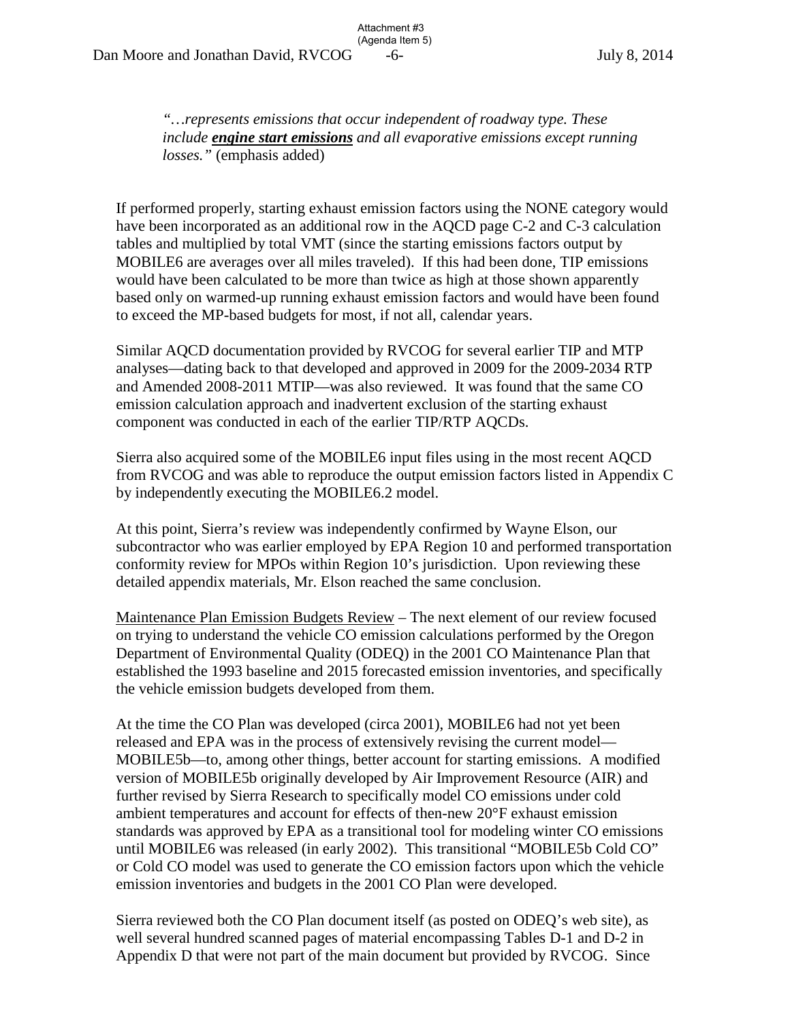*"…represents emissions that occur independent of roadway type. These include engine start emissions and all evaporative emissions except running losses."* (emphasis added)

Attachment #3

If performed properly, starting exhaust emission factors using the NONE category would have been incorporated as an additional row in the AQCD page C-2 and C-3 calculation tables and multiplied by total VMT (since the starting emissions factors output by MOBILE6 are averages over all miles traveled). If this had been done, TIP emissions would have been calculated to be more than twice as high at those shown apparently based only on warmed-up running exhaust emission factors and would have been found to exceed the MP-based budgets for most, if not all, calendar years.

Similar AQCD documentation provided by RVCOG for several earlier TIP and MTP analyses—dating back to that developed and approved in 2009 for the 2009-2034 RTP and Amended 2008-2011 MTIP—was also reviewed. It was found that the same CO emission calculation approach and inadvertent exclusion of the starting exhaust component was conducted in each of the earlier TIP/RTP AQCDs.

Sierra also acquired some of the MOBILE6 input files using in the most recent AQCD from RVCOG and was able to reproduce the output emission factors listed in Appendix C by independently executing the MOBILE6.2 model.

At this point, Sierra's review was independently confirmed by Wayne Elson, our subcontractor who was earlier employed by EPA Region 10 and performed transportation conformity review for MPOs within Region 10's jurisdiction. Upon reviewing these detailed appendix materials, Mr. Elson reached the same conclusion.

Maintenance Plan Emission Budgets Review – The next element of our review focused on trying to understand the vehicle CO emission calculations performed by the Oregon Department of Environmental Quality (ODEQ) in the 2001 CO Maintenance Plan that established the 1993 baseline and 2015 forecasted emission inventories, and specifically the vehicle emission budgets developed from them.

At the time the CO Plan was developed (circa 2001), MOBILE6 had not yet been released and EPA was in the process of extensively revising the current model— MOBILE5b—to, among other things, better account for starting emissions. A modified version of MOBILE5b originally developed by Air Improvement Resource (AIR) and further revised by Sierra Research to specifically model CO emissions under cold ambient temperatures and account for effects of then-new 20°F exhaust emission standards was approved by EPA as a transitional tool for modeling winter CO emissions until MOBILE6 was released (in early 2002). This transitional "MOBILE5b Cold CO" or Cold CO model was used to generate the CO emission factors upon which the vehicle emission inventories and budgets in the 2001 CO Plan were developed.

Sierra reviewed both the CO Plan document itself (as posted on ODEQ's web site), as well several hundred scanned pages of material encompassing Tables D-1 and D-2 in Appendix D that were not part of the main document but provided by RVCOG. Since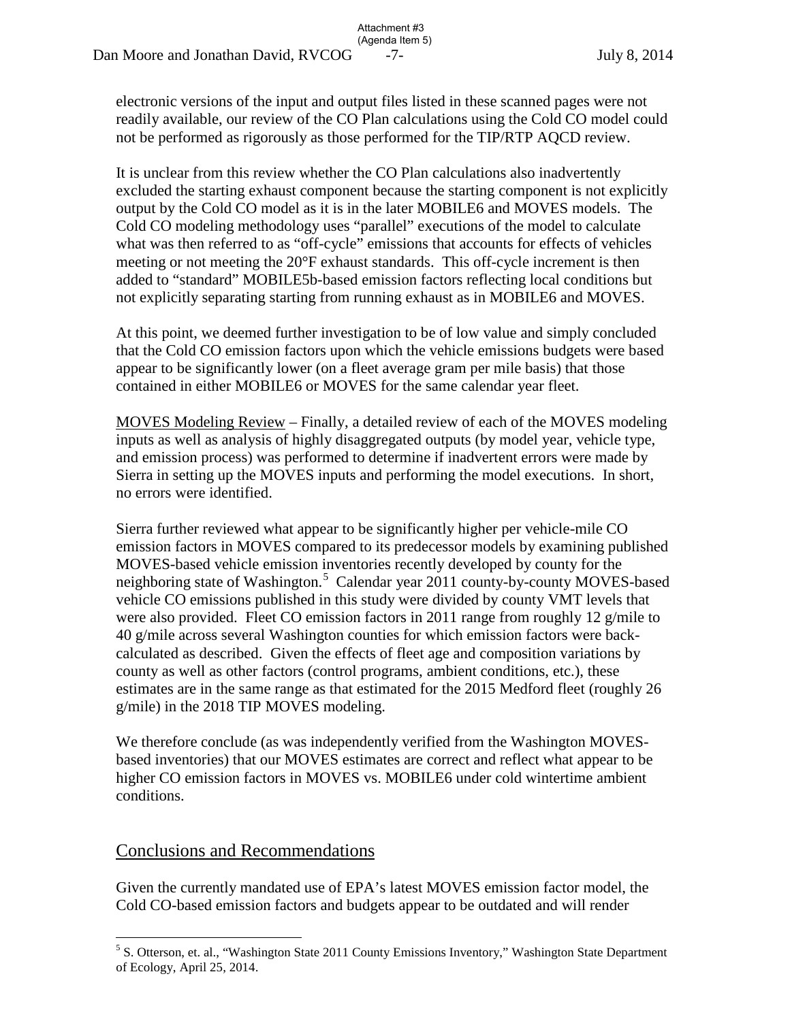electronic versions of the input and output files listed in these scanned pages were not readily available, our review of the CO Plan calculations using the Cold CO model could not be performed as rigorously as those performed for the TIP/RTP AQCD review.

Attachment #3

It is unclear from this review whether the CO Plan calculations also inadvertently excluded the starting exhaust component because the starting component is not explicitly output by the Cold CO model as it is in the later MOBILE6 and MOVES models. The Cold CO modeling methodology uses "parallel" executions of the model to calculate what was then referred to as "off-cycle" emissions that accounts for effects of vehicles meeting or not meeting the 20°F exhaust standards. This off-cycle increment is then added to "standard" MOBILE5b-based emission factors reflecting local conditions but not explicitly separating starting from running exhaust as in MOBILE6 and MOVES.

At this point, we deemed further investigation to be of low value and simply concluded that the Cold CO emission factors upon which the vehicle emissions budgets were based appear to be significantly lower (on a fleet average gram per mile basis) that those contained in either MOBILE6 or MOVES for the same calendar year fleet.

MOVES Modeling Review – Finally, a detailed review of each of the MOVES modeling inputs as well as analysis of highly disaggregated outputs (by model year, vehicle type, and emission process) was performed to determine if inadvertent errors were made by Sierra in setting up the MOVES inputs and performing the model executions. In short, no errors were identified.

Sierra further reviewed what appear to be significantly higher per vehicle-mile CO emission factors in MOVES compared to its predecessor models by examining published MOVES-based vehicle emission inventories recently developed by county for the neighboring state of Washington.<sup>[5](#page-16-0)</sup> Calendar year 2011 county-by-county MOVES-based vehicle CO emissions published in this study were divided by county VMT levels that were also provided. Fleet CO emission factors in 2011 range from roughly 12 g/mile to 40 g/mile across several Washington counties for which emission factors were backcalculated as described. Given the effects of fleet age and composition variations by county as well as other factors (control programs, ambient conditions, etc.), these estimates are in the same range as that estimated for the 2015 Medford fleet (roughly 26 g/mile) in the 2018 TIP MOVES modeling.

We therefore conclude (as was independently verified from the Washington MOVESbased inventories) that our MOVES estimates are correct and reflect what appear to be higher CO emission factors in MOVES vs. MOBILE6 under cold wintertime ambient conditions.

## Conclusions and Recommendations

Given the currently mandated use of EPA's latest MOVES emission factor model, the Cold CO-based emission factors and budgets appear to be outdated and will render

<span id="page-16-0"></span> $\overline{a}$ <sup>5</sup> S. Otterson, et. al., "Washington State 2011 County Emissions Inventory," Washington State Department of Ecology, April 25, 2014.